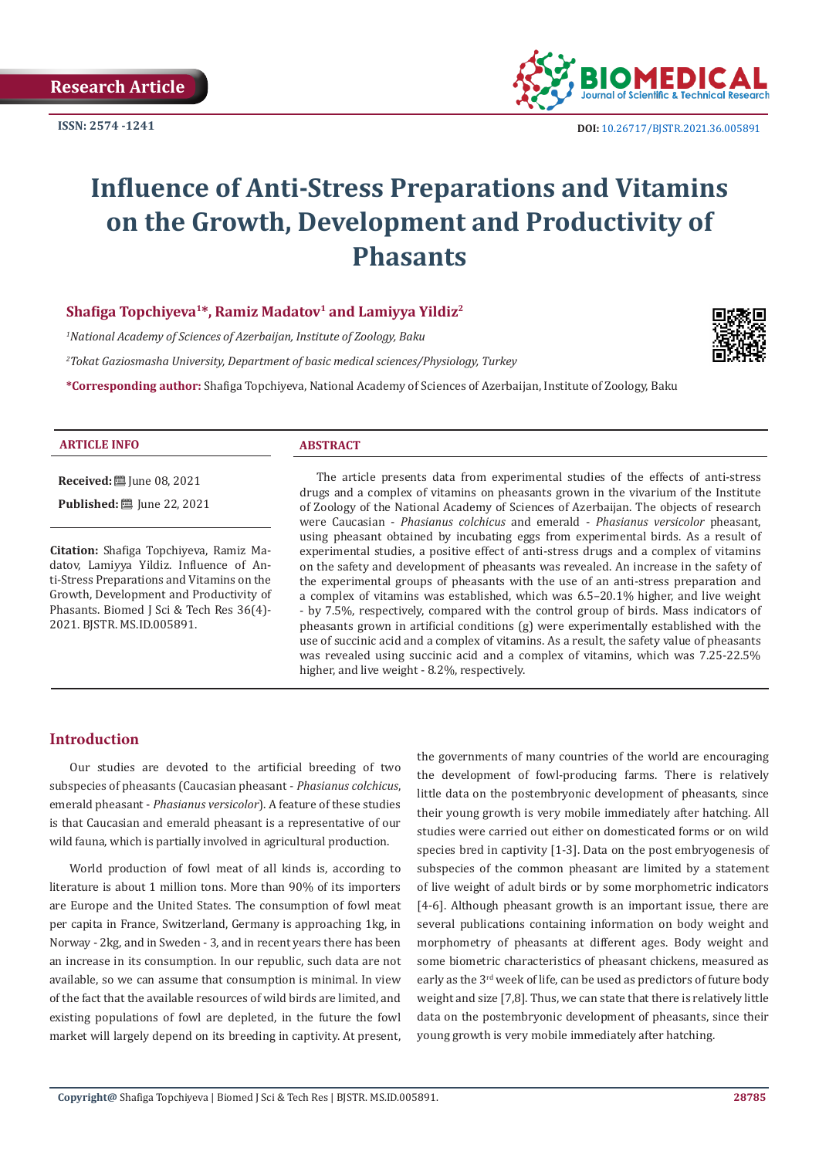

# **Influence of Anti-Stress Preparations and Vitamins on the Growth, Development and Productivity of Phasants**

# **Shafiga Topchiyeva<sup>1</sup>\*, Ramiz Madatov<sup>1</sup> and Lamiyya Yildiz<sup>2</sup>**

*1 National Academy of Sciences of Azerbaijan, Institute of Zoology, Baku*

*2 Tokat Gaziosmasha University, Department of basic medical sciences/Physiology, Turkey*

**\*Corresponding author:** Shafiga Topchiyeva, National Academy of Sciences of Azerbaijan, Institute of Zoology, Baku



#### **ARTICLE INFO ABSTRACT**

**Received:** ■ June 08, 2021

**Published:** ■ June 22, 2021

**Citation:** Shafiga Topchiyeva, Ramiz Madatov, Lamiyya Yildiz. Influence of Anti-Stress Preparations and Vitamins on the Growth, Development and Productivity of Phasants. Biomed J Sci & Tech Res 36(4)- 2021. BJSTR. MS.ID.005891.

The article presents data from experimental studies of the effects of anti-stress drugs and a complex of vitamins on pheasants grown in the vivarium of the Institute of Zoology of the National Academy of Sciences of Azerbaijan. The objects of research were Caucasian - *Phasianus colchicus* and emerald - *Phasianus versicolor* pheasant, using pheasant obtained by incubating eggs from experimental birds. As a result of experimental studies, a positive effect of anti-stress drugs and a complex of vitamins on the safety and development of pheasants was revealed. An increase in the safety of the experimental groups of pheasants with the use of an anti-stress preparation and a complex of vitamins was established, which was 6.5–20.1% higher, and live weight - by 7.5%, respectively, compared with the control group of birds. Mass indicators of pheasants grown in artificial conditions (g) were experimentally established with the use of succinic acid and a complex of vitamins. As a result, the safety value of pheasants was revealed using succinic acid and a complex of vitamins, which was 7.25-22.5% higher, and live weight - 8.2%, respectively.

#### **Introduction**

Our studies are devoted to the artificial breeding of two subspecies of pheasants (Caucasian pheasant - *Phasianus colchicus*, emerald pheasant - *Phasianus versicolor*). A feature of these studies is that Caucasian and emerald pheasant is a representative of our wild fauna, which is partially involved in agricultural production.

World production of fowl meat of all kinds is, according to literature is about 1 million tons. More than 90% of its importers are Europe and the United States. The consumption of fowl meat per capita in France, Switzerland, Germany is approaching 1kg, in Norway - 2kg, and in Sweden - 3, and in recent years there has been an increase in its consumption. In our republic, such data are not available, so we can assume that consumption is minimal. In view of the fact that the available resources of wild birds are limited, and existing populations of fowl are depleted, in the future the fowl market will largely depend on its breeding in captivity. At present,

the governments of many countries of the world are encouraging the development of fowl-producing farms. There is relatively little data on the postembryonic development of pheasants, since their young growth is very mobile immediately after hatching. All studies were carried out either on domesticated forms or on wild species bred in captivity [1-3]. Data on the post embryogenesis of subspecies of the common pheasant are limited by a statement of live weight of adult birds or by some morphometric indicators [4-6]. Although pheasant growth is an important issue, there are several publications containing information on body weight and morphometry of pheasants at different ages. Body weight and some biometric characteristics of pheasant chickens, measured as early as the 3rd week of life, can be used as predictors of future body weight and size [7,8]. Thus, we can state that there is relatively little data on the postembryonic development of pheasants, since their young growth is very mobile immediately after hatching.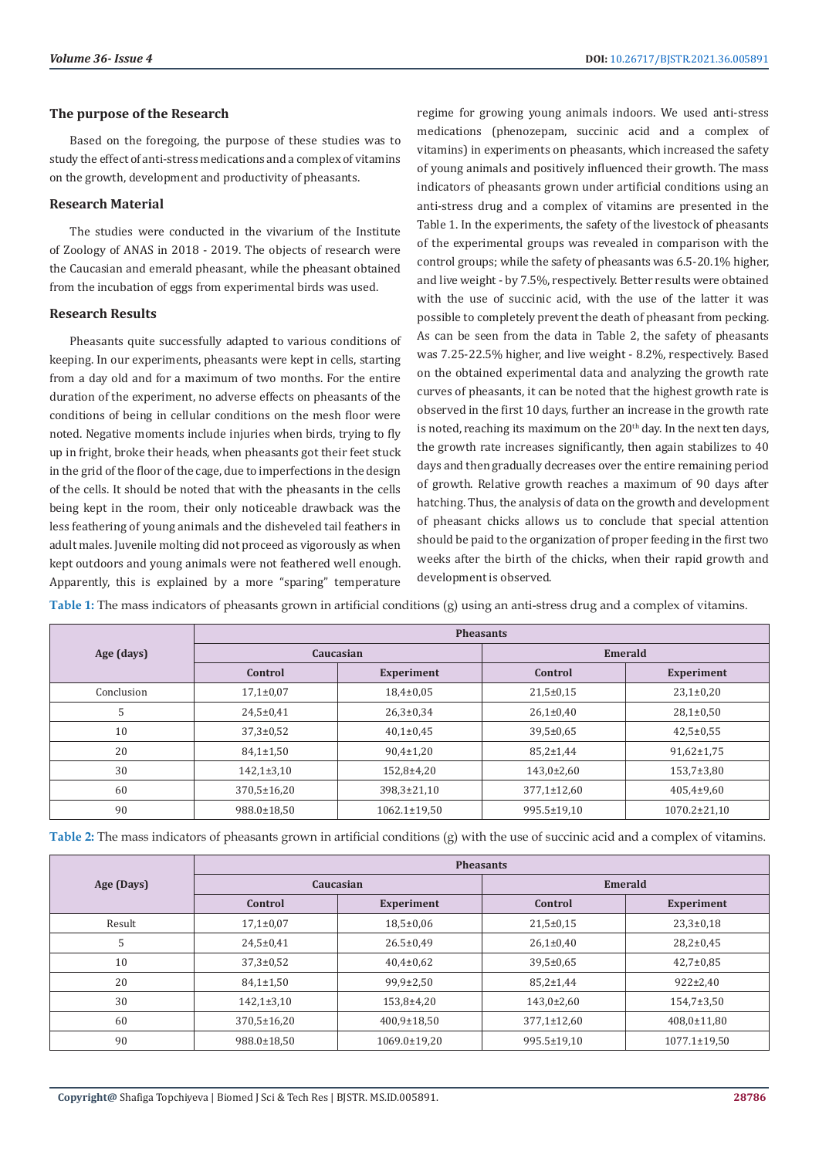#### **The purpose of the Research**

Based on the foregoing, the purpose of these studies was to study the effect of anti-stress medications and a complex of vitamins on the growth, development and productivity of pheasants.

#### **Research Material**

The studies were conducted in the vivarium of the Institute of Zoology of ANAS in 2018 - 2019. The objects of research were the Caucasian and emerald pheasant, while the pheasant obtained from the incubation of eggs from experimental birds was used.

#### **Research Results**

Pheasants quite successfully adapted to various conditions of keeping. In our experiments, pheasants were kept in cells, starting from a day old and for a maximum of two months. For the entire duration of the experiment, no adverse effects on pheasants of the conditions of being in cellular conditions on the mesh floor were noted. Negative moments include injuries when birds, trying to fly up in fright, broke their heads, when pheasants got their feet stuck in the grid of the floor of the cage, due to imperfections in the design of the cells. It should be noted that with the pheasants in the cells being kept in the room, their only noticeable drawback was the less feathering of young animals and the disheveled tail feathers in adult males. Juvenile molting did not proceed as vigorously as when kept outdoors and young animals were not feathered well enough. Apparently, this is explained by a more "sparing" temperature

regime for growing young animals indoors. We used anti-stress medications (phenozepam, succinic acid and a complex of vitamins) in experiments on pheasants, which increased the safety of young animals and positively influenced their growth. The mass indicators of pheasants grown under artificial conditions using an anti-stress drug and a complex of vitamins are presented in the Table 1. In the experiments, the safety of the livestock of pheasants of the experimental groups was revealed in comparison with the control groups; while the safety of pheasants was 6.5-20.1% higher, and live weight - by 7.5%, respectively. Better results were obtained with the use of succinic acid, with the use of the latter it was possible to completely prevent the death of pheasant from pecking. As can be seen from the data in Table 2, the safety of pheasants was 7.25-22.5% higher, and live weight - 8.2%, respectively. Based on the obtained experimental data and analyzing the growth rate curves of pheasants, it can be noted that the highest growth rate is observed in the first 10 days, further an increase in the growth rate is noted, reaching its maximum on the  $20<sup>th</sup>$  day. In the next ten days, the growth rate increases significantly, then again stabilizes to 40 days and then gradually decreases over the entire remaining period of growth. Relative growth reaches a maximum of 90 days after hatching. Thus, the analysis of data on the growth and development of pheasant chicks allows us to conclude that special attention should be paid to the organization of proper feeding in the first two weeks after the birth of the chicks, when their rapid growth and development is observed.

**Table 1:** The mass indicators of pheasants grown in artificial conditions (g) using an anti-stress drug and a complex of vitamins.

|            | <b>Pheasants</b>  |                    |                  |                    |  |
|------------|-------------------|--------------------|------------------|--------------------|--|
| Age (days) | Caucasian         |                    | <b>Emerald</b>   |                    |  |
|            | Control           | <b>Experiment</b>  | Control          | <b>Experiment</b>  |  |
| Conclusion | $17,1\pm0.07$     | $18,4\pm0.05$      | $21,5+0,15$      | $23,1\pm0,20$      |  |
| 5          | $24,5+0,41$       | $26,3 \pm 0.34$    | $26,1\pm0,40$    | $28,1\pm0,50$      |  |
| 10         | $37,3 \pm 0.52$   | $40,1\pm0.45$      | $39,5 \pm 0.65$  | $42,5 \pm 0.55$    |  |
| 20         | $84,1 \pm 1,50$   | $90,4 \pm 1,20$    | $85,2 \pm 1,44$  | $91,62 \pm 1,75$   |  |
| 30         | $142,1\pm3,10$    | 152,8±4,20         | $143,0{\pm}2,60$ | $153,7 \pm 3,80$   |  |
| 60         | $370,5 \pm 16,20$ | 398.3±21.10        | 377,1±12,60      | $405,4\pm9,60$     |  |
| 90         | 988.0±18,50       | $1062.1 \pm 19.50$ | 995.5±19,10      | $1070.2 \pm 21.10$ |  |

**Table 2:** The mass indicators of pheasants grown in artificial conditions (g) with the use of succinic acid and a complex of vitamins.

|            | <b>Pheasants</b>  |                   |                   |                    |  |
|------------|-------------------|-------------------|-------------------|--------------------|--|
| Age (Days) | Caucasian         |                   | Emerald           |                    |  |
|            | Control           | <b>Experiment</b> | Control           | <b>Experiment</b>  |  |
| Result     | $17,1\pm0.07$     | $18,5 \pm 0.06$   | $21,5+0,15$       | $23,3 \pm 0,18$    |  |
| 5          | $24,5+0,41$       | $26.5 \pm 0.49$   | $26,1\pm0,40$     | $28,2+0,45$        |  |
| 10         | $37,3 \pm 0.52$   | $40,4\pm0,62$     | $39,5 \pm 0,65$   | $42,7 \pm 0.85$    |  |
| 20         | $84,1 \pm 1,50$   | $99,9 \pm 2,50$   | $85,2 \pm 1,44$   | $922 \pm 2,40$     |  |
| 30         | $142,1\pm3,10$    | 153,8±4,20        | $143,0{\pm}2,60$  | $154,7 \pm 3,50$   |  |
| 60         | $370,5 \pm 16,20$ | 400,9±18,50       | $377,1 \pm 12,60$ | 408,0±11,80        |  |
| 90         | 988.0±18,50       | 1069.0±19,20      | 995.5±19,10       | $1077.1 \pm 19.50$ |  |